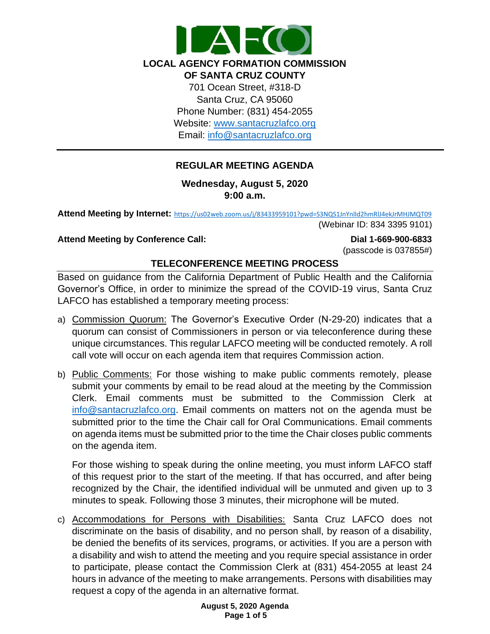

**LOCAL AGENCY FORMATION COMMISSION OF SANTA CRUZ COUNTY** 701 Ocean Street, #318-D Santa Cruz, CA 95060 Phone Number: (831) 454-2055 Website: [www.santacruzlafco.org](http://www.santacruzlafco.org/) Email: [info@santacruzlafco.org](mailto:info@santacruzlafco.org)

# **REGULAR MEETING AGENDA**

### **Wednesday, August 5, 2020 9:00 a.m.**

**Attend Meeting by Internet:** <https://us02web.zoom.us/j/83433959101?pwd=S3NQS1JnYnlId2hmRlJ4ekJrMHJMQT09> (Webinar ID: 834 3395 9101)

#### **Attend Meeting by Conference Call: Dial 1-669-900-6833**

(passcode is 037855#)

## **TELECONFERENCE MEETING PROCESS**

Based on guidance from the California Department of Public Health and the California Governor's Office, in order to minimize the spread of the COVID-19 virus, Santa Cruz LAFCO has established a temporary meeting process:

- a) Commission Quorum: The Governor's Executive Order (N-29-20) indicates that a quorum can consist of Commissioners in person or via teleconference during these unique circumstances. This regular LAFCO meeting will be conducted remotely. A roll call vote will occur on each agenda item that requires Commission action.
- b) Public Comments: For those wishing to make public comments remotely, please submit your comments by email to be read aloud at the meeting by the Commission Clerk. Email comments must be submitted to the Commission Clerk at [info@santacruzlafco.org.](mailto:info@santacruzlafco.org) Email comments on matters not on the agenda must be submitted prior to the time the Chair call for Oral Communications. Email comments on agenda items must be submitted prior to the time the Chair closes public comments on the agenda item.

For those wishing to speak during the online meeting, you must inform LAFCO staff of this request prior to the start of the meeting. If that has occurred, and after being recognized by the Chair, the identified individual will be unmuted and given up to 3 minutes to speak. Following those 3 minutes, their microphone will be muted.

c) Accommodations for Persons with Disabilities: Santa Cruz LAFCO does not discriminate on the basis of disability, and no person shall, by reason of a disability, be denied the benefits of its services, programs, or activities. If you are a person with a disability and wish to attend the meeting and you require special assistance in order to participate, please contact the Commission Clerk at (831) 454-2055 at least 24 hours in advance of the meeting to make arrangements. Persons with disabilities may request a copy of the agenda in an alternative format.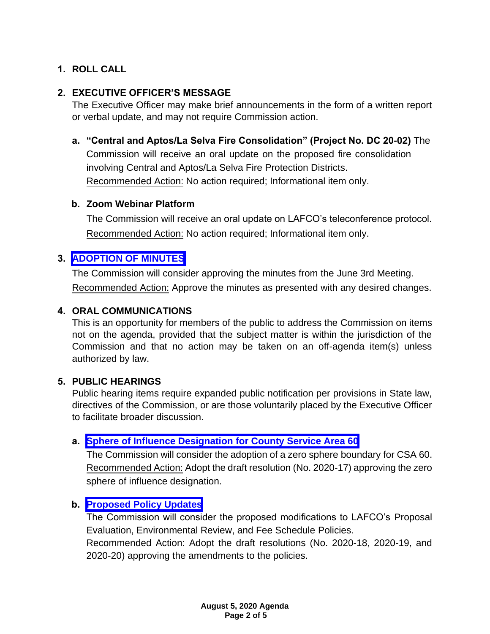## **1. ROLL CALL**

## **2. EXECUTIVE OFFICER'S MESSAGE**

The Executive Officer may make brief announcements in the form of a written report or verbal update, and may not require Commission action.

## **a. "Central and Aptos/La Selva Fire Consolidation" (Project No. DC 20-02)** The

Commission will receive an oral update on the proposed fire consolidation involving Central and Aptos/La Selva Fire Protection Districts. Recommended Action: No action required; Informational item only.

#### **b. Zoom Webinar Platform**

The Commission will receive an oral update on LAFCO's teleconference protocol. Recommended Action: No action required; Informational item only.

#### **3. [ADOPTION OF MINUTES](https://www.santacruzlafco.org/wp-content/uploads/2020/07/3.0-June-3-2020-Draft-Minutes.pdf)**

The Commission will consider approving the minutes from the June 3rd Meeting. Recommended Action: Approve the minutes as presented with any desired changes.

## **4. ORAL COMMUNICATIONS**

This is an opportunity for members of the public to address the Commission on items not on the agenda, provided that the subject matter is within the jurisdiction of the Commission and that no action may be taken on an off-agenda item(s) unless authorized by law.

#### **5. PUBLIC HEARINGS**

Public hearing items require expanded public notification per provisions in State law, directives of the Commission, or are those voluntarily placed by the Executive Officer to facilitate broader discussion.

#### **a. [Sphere of Influence Designation for County Service Area 60](https://www.santacruzlafco.org/wp-content/uploads/2020/07/5a.0-CSA-60-Sphere-Staff-Report.pdf)**

The Commission will consider the adoption of a zero sphere boundary for CSA 60. Recommended Action: Adopt the draft resolution (No. 2020-17) approving the zero sphere of influence designation.

#### **b. [Proposed Policy Updates](https://www.santacruzlafco.org/wp-content/uploads/2020/07/5b.0-Policy-Updates-Staff-Report.pdf)**

The Commission will consider the proposed modifications to LAFCO's Proposal Evaluation, Environmental Review, and Fee Schedule Policies.

Recommended Action: Adopt the draft resolutions (No. 2020-18, 2020-19, and 2020-20) approving the amendments to the policies.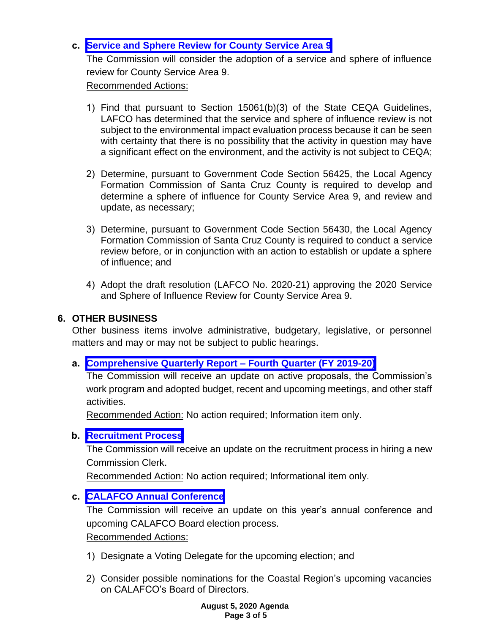## **c. [Service and Sphere Review for County Service Area 9](https://www.santacruzlafco.org/wp-content/uploads/2020/07/5c.0-CSA-9-MSR-Staff-Report.pdf)**

The Commission will consider the adoption of a service and sphere of influence review for County Service Area 9.

Recommended Actions:

- 1) Find that pursuant to Section 15061(b)(3) of the State CEQA Guidelines, LAFCO has determined that the service and sphere of influence review is not subject to the environmental impact evaluation process because it can be seen with certainty that there is no possibility that the activity in question may have a significant effect on the environment, and the activity is not subject to CEQA;
- 2) Determine, pursuant to Government Code Section 56425, the Local Agency Formation Commission of Santa Cruz County is required to develop and determine a sphere of influence for County Service Area 9, and review and update, as necessary;
- 3) Determine, pursuant to Government Code Section 56430, the Local Agency Formation Commission of Santa Cruz County is required to conduct a service review before, or in conjunction with an action to establish or update a sphere of influence; and
- 4) Adopt the draft resolution (LAFCO No. 2020-21) approving the 2020 Service and Sphere of Influence Review for County Service Area 9.

### **6. OTHER BUSINESS**

Other business items involve administrative, budgetary, legislative, or personnel matters and may or may not be subject to public hearings.

#### **a. [Comprehensive Quarterly Report –](https://www.santacruzlafco.org/wp-content/uploads/2020/07/6a.0-Comp-Quarterly-Update-Staff-Report.pdf) Fourth Quarter (FY 2019-20)**

The Commission will receive an update on active proposals, the Commission's work program and adopted budget, recent and upcoming meetings, and other staff activities.

Recommended Action: No action required; Information item only.

#### **b. [Recruitment Process](https://www.santacruzlafco.org/wp-content/uploads/2020/07/6b.0-Recruitment-Process-Staff-Report.pdf)**

The Commission will receive an update on the recruitment process in hiring a new Commission Clerk.

Recommended Action: No action required; Informational item only.

#### **c. [CALAFCO Annual Conference](https://www.santacruzlafco.org/wp-content/uploads/2020/07/6c.0-CALAFCO-Update-Staff-Report.pdf)**

The Commission will receive an update on this year's annual conference and upcoming CALAFCO Board election process.

Recommended Actions:

- 1) Designate a Voting Delegate for the upcoming election; and
- 2) Consider possible nominations for the Coastal Region's upcoming vacancies on CALAFCO's Board of Directors.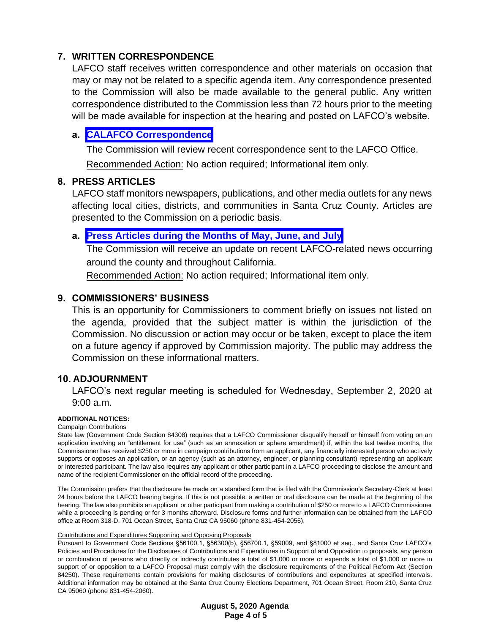## **7. WRITTEN CORRESPONDENCE**

LAFCO staff receives written correspondence and other materials on occasion that may or may not be related to a specific agenda item. Any correspondence presented to the Commission will also be made available to the general public. Any written correspondence distributed to the Commission less than 72 hours prior to the meeting will be made available for inspection at the hearing and posted on LAFCO's website.

## **a. [CALAFCO Correspondence](https://www.santacruzlafco.org/wp-content/uploads/2020/07/7a.0-Written-Correspondence-Staff-Report.pdf)**

The Commission will review recent correspondence sent to the LAFCO Office.

Recommended Action: No action required; Informational item only.

## **8. PRESS ARTICLES**

LAFCO staff monitors newspapers, publications, and other media outlets for any news affecting local cities, districts, and communities in Santa Cruz County. Articles are presented to the Commission on a periodic basis.

## **a. [Press Articles during the Months of May, June, and July](https://www.santacruzlafco.org/wp-content/uploads/2020/07/8a.0-Press-Articles-Staff-Report.pdf)**

The Commission will receive an update on recent LAFCO-related news occurring around the county and throughout California.

Recommended Action: No action required; Informational item only.

## **9. COMMISSIONERS' BUSINESS**

This is an opportunity for Commissioners to comment briefly on issues not listed on the agenda, provided that the subject matter is within the jurisdiction of the Commission. No discussion or action may occur or be taken, except to place the item on a future agency if approved by Commission majority. The public may address the Commission on these informational matters.

#### **10. ADJOURNMENT**

LAFCO's next regular meeting is scheduled for Wednesday, September 2, 2020 at 9:00 a.m.

#### **ADDITIONAL NOTICES:**

Campaign Contributions

State law (Government Code Section 84308) requires that a LAFCO Commissioner disqualify herself or himself from voting on an application involving an "entitlement for use" (such as an annexation or sphere amendment) if, within the last twelve months, the Commissioner has received \$250 or more in campaign contributions from an applicant, any financially interested person who actively supports or opposes an application, or an agency (such as an attorney, engineer, or planning consultant) representing an applicant or interested participant. The law also requires any applicant or other participant in a LAFCO proceeding to disclose the amount and name of the recipient Commissioner on the official record of the proceeding.

The Commission prefers that the disclosure be made on a standard form that is filed with the Commission's Secretary-Clerk at least 24 hours before the LAFCO hearing begins. If this is not possible, a written or oral disclosure can be made at the beginning of the hearing. The law also prohibits an applicant or other participant from making a contribution of \$250 or more to a LAFCO Commissioner while a proceeding is pending or for 3 months afterward. Disclosure forms and further information can be obtained from the LAFCO office at Room 318-D, 701 Ocean Street, Santa Cruz CA 95060 (phone 831-454-2055).

#### Contributions and Expenditures Supporting and Opposing Proposals

Pursuant to Government Code Sections §56100.1, §56300(b), §56700.1, §59009, and §81000 et seq., and Santa Cruz LAFCO's Policies and Procedures for the Disclosures of Contributions and Expenditures in Support of and Opposition to proposals, any person or combination of persons who directly or indirectly contributes a total of \$1,000 or more or expends a total of \$1,000 or more in support of or opposition to a LAFCO Proposal must comply with the disclosure requirements of the Political Reform Act (Section 84250). These requirements contain provisions for making disclosures of contributions and expenditures at specified intervals. Additional information may be obtained at the Santa Cruz County Elections Department, 701 Ocean Street, Room 210, Santa Cruz CA 95060 (phone 831-454-2060).

> **August 5, 2020 Agenda Page 4 of 5**